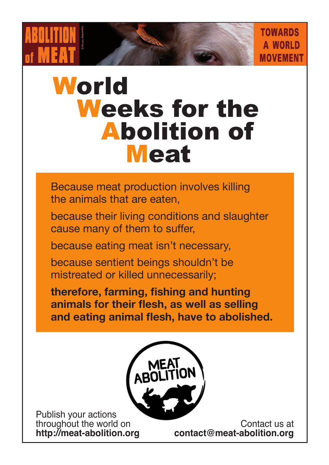**TOWARDS A WORLD MOVEMENT** 

# **World**  Weeks for the Abolition of Meat

Because meat production involves killing the animals that are eaten,

because their living conditions and slaughter cause many of them to suffer,

because eating meat isn't necessary,

because sentient beings shouldn't be mistreated or killed unnecessarily;

**therefore, farming, fishing and hunting animals for their flesh, as well as selling and eating animal flesh, have to abolished.**



Publish your actions throughout the world on **http://meat-abolition.org**

Contact us at **contact@meat-abolition.org**